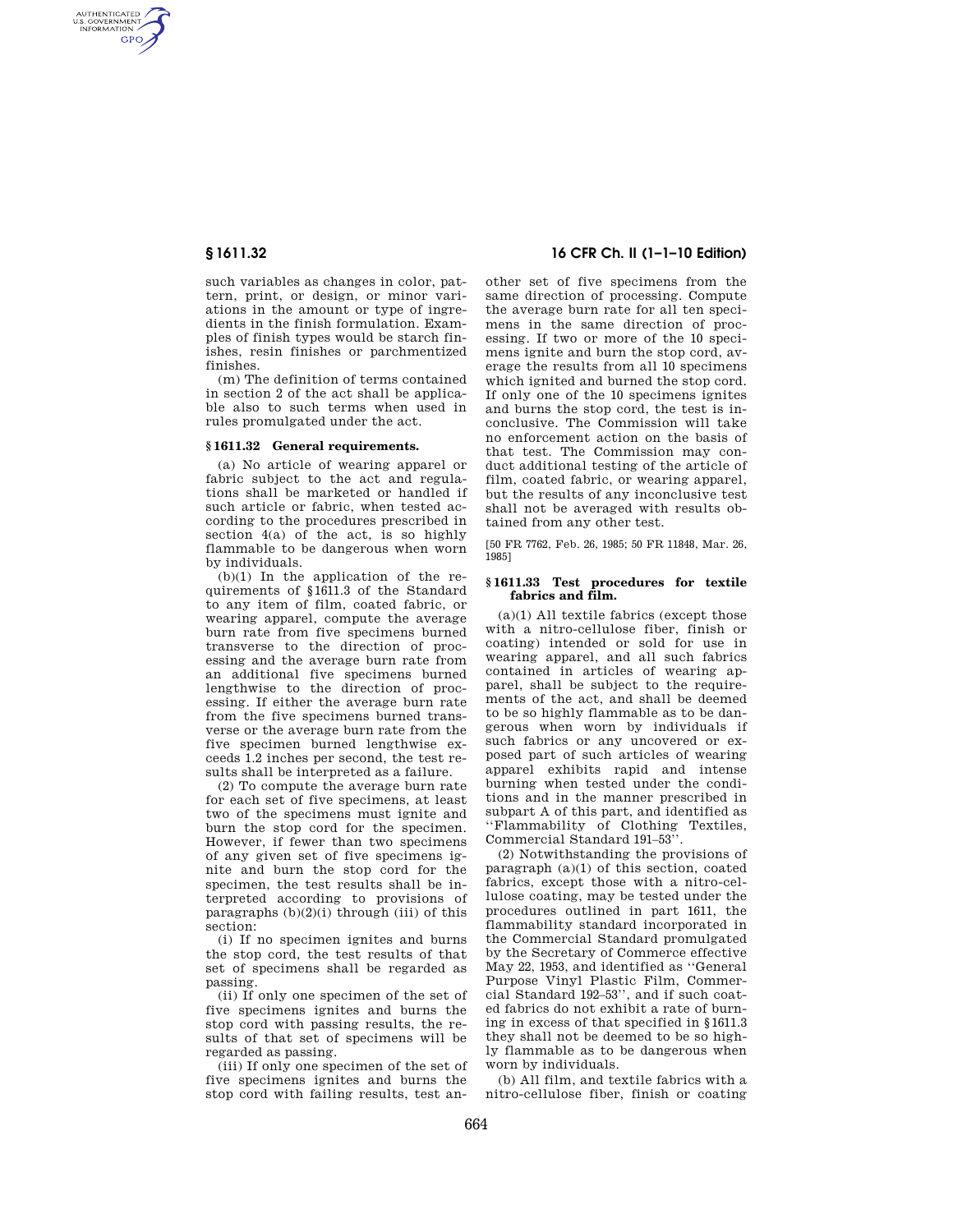AUTHENTICATED<br>U.S. GOVERNMENT<br>INFORMATION **GPO** 

> such variables as changes in color, pattern, print, or design, or minor variations in the amount or type of ingredients in the finish formulation. Examples of finish types would be starch finishes, resin finishes or parchmentized finishes.

> (m) The definition of terms contained in section 2 of the act shall be applicable also to such terms when used in rules promulgated under the act.

## **§ 1611.32 General requirements.**

(a) No article of wearing apparel or fabric subject to the act and regulations shall be marketed or handled if such article or fabric, when tested according to the procedures prescribed in section 4(a) of the act, is so highly flammable to be dangerous when worn by individuals.

(b)(1) In the application of the requirements of §1611.3 of the Standard to any item of film, coated fabric, or wearing apparel, compute the average burn rate from five specimens burned transverse to the direction of processing and the average burn rate from an additional five specimens burned lengthwise to the direction of processing. If either the average burn rate from the five specimens burned transverse or the average burn rate from the five specimen burned lengthwise exceeds 1.2 inches per second, the test results shall be interpreted as a failure.

(2) To compute the average burn rate for each set of five specimens, at least two of the specimens must ignite and burn the stop cord for the specimen. However, if fewer than two specimens of any given set of five specimens ignite and burn the stop cord for the specimen, the test results shall be interpreted according to provisions of paragraphs  $(b)(2)(i)$  through (iii) of this section:

(i) If no specimen ignites and burns the stop cord, the test results of that set of specimens shall be regarded as passing.

(ii) If only one specimen of the set of five specimens ignites and burns the stop cord with passing results, the results of that set of specimens will be regarded as passing.

(iii) If only one specimen of the set of five specimens ignites and burns the stop cord with failing results, test an-

# **§ 1611.32 16 CFR Ch. II (1–1–10 Edition)**

other set of five specimens from the same direction of processing. Compute the average burn rate for all ten specimens in the same direction of processing. If two or more of the 10 specimens ignite and burn the stop cord, average the results from all 10 specimens which ignited and burned the stop cord. If only one of the 10 specimens ignites and burns the stop cord, the test is inconclusive. The Commission will take no enforcement action on the basis of that test. The Commission may conduct additional testing of the article of film, coated fabric, or wearing apparel, but the results of any inconclusive test shall not be averaged with results obtained from any other test.

[50 FR 7762, Feb. 26, 1985; 50 FR 11848, Mar. 26, 1985]

## **§ 1611.33 Test procedures for textile fabrics and film.**

(a)(1) All textile fabrics (except those with a nitro-cellulose fiber, finish or coating) intended or sold for use in wearing apparel, and all such fabrics contained in articles of wearing apparel, shall be subject to the requirements of the act, and shall be deemed to be so highly flammable as to be dangerous when worn by individuals if such fabrics or any uncovered or exposed part of such articles of wearing apparel exhibits rapid and intense burning when tested under the conditions and in the manner prescribed in subpart A of this part, and identified as ''Flammability of Clothing Textiles, Commercial Standard 191–53''.

(2) Notwithstanding the provisions of paragraph (a)(1) of this section, coated fabrics, except those with a nitro-cellulose coating, may be tested under the procedures outlined in part 1611, the flammability standard incorporated in the Commercial Standard promulgated by the Secretary of Commerce effective May 22, 1953, and identified as ''General Purpose Vinyl Plastic Film, Commercial Standard 192–53'', and if such coated fabrics do not exhibit a rate of burning in excess of that specified in §1611.3 they shall not be deemed to be so highly flammable as to be dangerous when worn by individuals.

(b) All film, and textile fabrics with a nitro-cellulose fiber, finish or coating